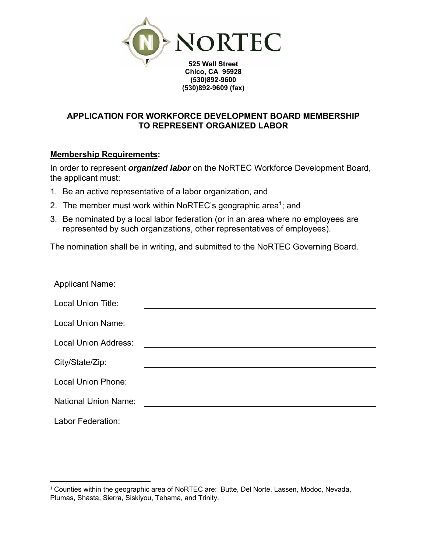

## **APPLICATION FOR WORKFORCE DEVELOPMENT BOARD MEMBERSHIP TO REPRESENT ORGANIZED LABOR**

**(530)892-9609 (fax)** 

## **Membership Requirements:**

In order to represent *organized labor* on the NoRTEC Workforce Development Board, the applicant must:

- 1. Be an active representative of a labor organization, and
- 2. The member must work within NoRTEC's geographic area<sup>1</sup>; and
- 3. Be nominated by a local labor federation (or in an area where no employees are represented by such organizations, other representatives of employees).

The nomination shall be in writing, and submitted to the NoRTEC Governing Board.

| <b>Applicant Name:</b>      |  |
|-----------------------------|--|
| <b>Local Union Title:</b>   |  |
| <b>Local Union Name:</b>    |  |
| <b>Local Union Address:</b> |  |
| City/State/Zip:             |  |
| <b>Local Union Phone:</b>   |  |
| <b>National Union Name:</b> |  |
| Labor Federation:           |  |

 <sup>1</sup> Counties within the geographic area of NoRTEC are: Butte, Del Norte, Lassen, Modoc, Nevada, Plumas, Shasta, Sierra, Siskiyou, Tehama, and Trinity.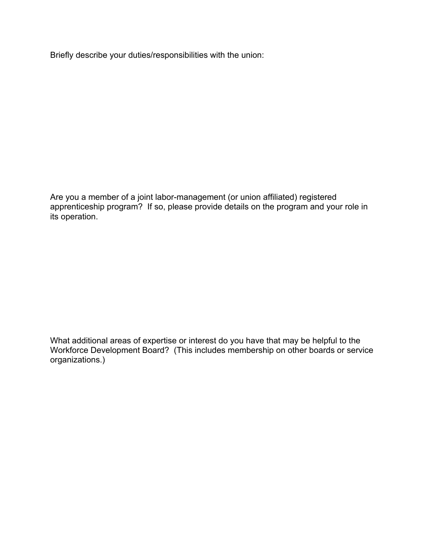Briefly describe your duties/responsibilities with the union:

Are you a member of a joint labor-management (or union affiliated) registered apprenticeship program? If so, please provide details on the program and your role in its operation.

What additional areas of expertise or interest do you have that may be helpful to the Workforce Development Board? (This includes membership on other boards or service organizations.)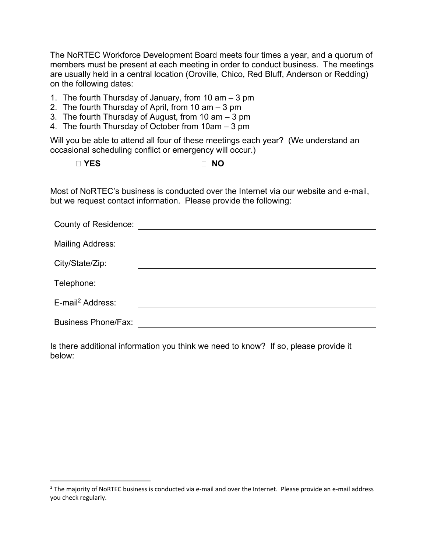The NoRTEC Workforce Development Board meets four times a year, and a quorum of members must be present at each meeting in order to conduct business. The meetings are usually held in a central location (Oroville, Chico, Red Bluff, Anderson or Redding) on the following dates:

- 1. The fourth Thursday of January, from 10 am 3 pm
- 2. The fourth Thursday of April, from 10 am 3 pm
- 3. The fourth Thursday of August, from 10 am 3 pm
- 4. The fourth Thursday of October from 10am 3 pm

Will you be able to attend all four of these meetings each year? (We understand an occasional scheduling conflict or emergency will occur.)

**YES NO** 

Most of NoRTEC's business is conducted over the Internet via our website and e-mail, but we request contact information. Please provide the following:

| <b>County of Residence:</b>  |  |
|------------------------------|--|
| <b>Mailing Address:</b>      |  |
| City/State/Zip:              |  |
| Telephone:                   |  |
| E-mail <sup>2</sup> Address: |  |
| <b>Business Phone/Fax:</b>   |  |

Is there additional information you think we need to know? If so, please provide it below:

<sup>&</sup>lt;sup>2</sup> The majority of NoRTEC business is conducted via e-mail and over the Internet. Please provide an e-mail address you check regularly.